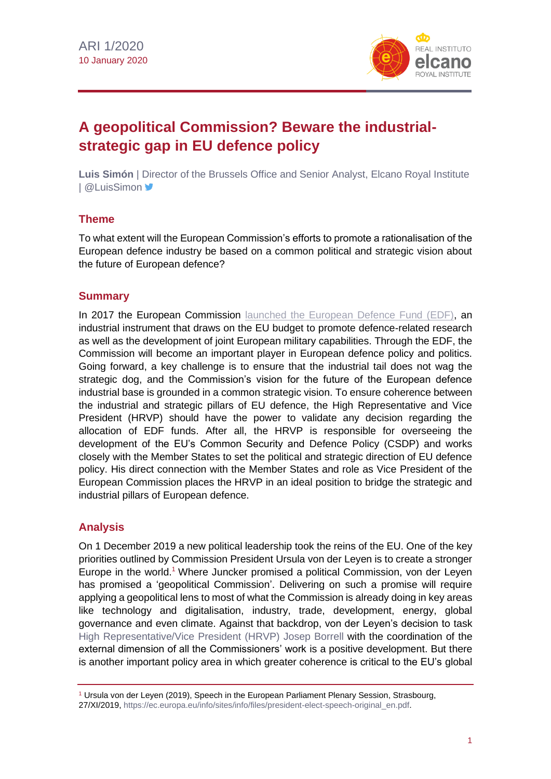

# **A geopolitical Commission? Beware the industrialstrategic gap in EU defence policy**

**Luis Simón** | Director of the Brussels Office and Senior Analyst, Elcano Royal Institute | @LuisSimon ■

### **Theme**

To what extent will the European Commission's efforts to promote a rationalisation of the European defence industry be based on a common political and strategic vision about the future of European defence?

### **Summary**

In 2017 the European Commission [launched the European Defence](http://www.realinstitutoelcano.org/wps/portal/rielcano_en/contenido?WCM_GLOBAL_CONTEXT=/elcano/elcano_in/zonas_in/ari59-2018-lavallee-european-commission-enabler-for-european-security-defence-union) Fund (EDF), an industrial instrument that draws on the EU budget to promote defence-related research as well as the development of joint European military capabilities. Through the EDF, the Commission will become an important player in European defence policy and politics. Going forward, a key challenge is to ensure that the industrial tail does not wag the strategic dog, and the Commission's vision for the future of the European defence industrial base is grounded in a common strategic vision. To ensure coherence between the industrial and strategic pillars of EU defence, the High Representative and Vice President (HRVP) should have the power to validate any decision regarding the allocation of EDF funds. After all, the HRVP is responsible for overseeing the development of the EU's Common Security and Defence Policy (CSDP) and works closely with the Member States to set the political and strategic direction of EU defence policy. His direct connection with the Member States and role as Vice President of the European Commission places the HRVP in an ideal position to bridge the strategic and industrial pillars of European defence.

# **Analysis**

On 1 December 2019 a new political leadership took the reins of the EU. One of the key priorities outlined by Commission President Ursula von der Leyen is to create a stronger Europe in the world.<sup>1</sup> Where Juncker promised a political Commission, von der Leyen has promised a 'geopolitical Commission'. Delivering on such a promise will require applying a geopolitical lens to most of what the Commission is already doing in key areas like technology and digitalisation, industry, trade, development, energy, global governance and even climate. Against that backdrop, von der Leyen's decision to task [High Representative/Vice President](http://www.realinstitutoelcano.org/wps/portal/rielcano_en/contenido?WCM_GLOBAL_CONTEXT=/elcano/elcano_in/zonas_in/ari88-2019-molina-simon-strategic-look-position-high-representative-commission-vice-president) (HRVP) Josep Borrell with the coordination of the external dimension of all the Commissioners' work is a positive development. But there is another important policy area in which greater coherence is critical to the EU's global

<sup>1</sup> Ursula von der Leyen (2019), Speech in the European Parliament Plenary Session, Strasbourg, 27/XI/2019, [https://ec.europa.eu/info/sites/info/files/president-elect-speech-original\\_en.pdf.](https://ec.europa.eu/info/sites/info/files/president-elect-speech-original_en.pdf)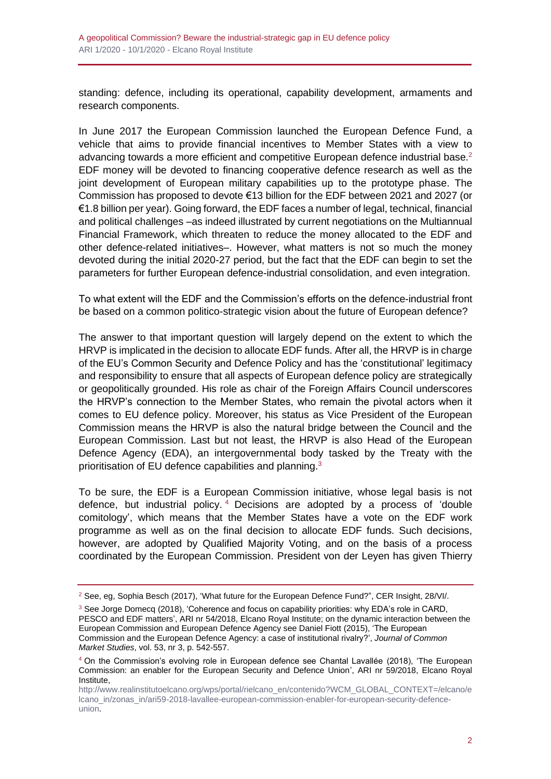standing: defence, including its operational, capability development, armaments and research components.

In June 2017 the European Commission launched the European Defence Fund, a vehicle that aims to provide financial incentives to Member States with a view to advancing towards a more efficient and competitive European defence industrial base.<sup>2</sup> EDF money will be devoted to financing cooperative defence research as well as the joint development of European military capabilities up to the prototype phase. The Commission has proposed to devote €13 billion for the EDF between 2021 and 2027 (or €1.8 billion per year). Going forward, the EDF faces a number of legal, technical, financial and political challenges –as indeed illustrated by current negotiations on the Multiannual Financial Framework, which threaten to reduce the money allocated to the EDF and other defence-related initiatives–. However, what matters is not so much the money devoted during the initial 2020-27 period, but the fact that the EDF can begin to set the parameters for further European defence-industrial consolidation, and even integration.

To what extent will the EDF and the Commission's efforts on the defence-industrial front be based on a common politico-strategic vision about the future of European defence?

The answer to that important question will largely depend on the extent to which the HRVP is implicated in the decision to allocate EDF funds. After all, the HRVP is in charge of the EU's Common Security and Defence Policy and has the 'constitutional' legitimacy and responsibility to ensure that all aspects of European defence policy are strategically or geopolitically grounded. His role as chair of the Foreign Affairs Council underscores the HRVP's connection to the Member States, who remain the pivotal actors when it comes to EU defence policy. Moreover, his status as Vice President of the European Commission means the HRVP is also the natural bridge between the Council and the European Commission. Last but not least, the HRVP is also Head of the European Defence Agency (EDA), an intergovernmental body tasked by the Treaty with the prioritisation of EU defence capabilities and planning.<sup>3</sup>

To be sure, the EDF is a European Commission initiative, whose legal basis is not defence, but industrial policy. <sup>4</sup> Decisions are adopted by a process of 'double comitology', which means that the Member States have a vote on the EDF work programme as well as on the final decision to allocate EDF funds. Such decisions, however, are adopted by Qualified Majority Voting, and on the basis of a process coordinated by the European Commission. President von der Leyen has given Thierry

<sup>&</sup>lt;sup>2</sup> See, eg, Sophia Besch (2017), 'What future for the European Defence Fund?", CER Insight, 28/VI/.

<sup>&</sup>lt;sup>3</sup> See Jorge Domecq (2018), 'Coherence and focus on capability priorities: why EDA's role in CARD, PESCO and EDF matters', ARI nr 54/2018, Elcano Royal Institute; on the dynamic interaction between the European Commission and European Defence Agency see Daniel Fiott (2015), 'The European Commission and the European Defence Agency: a case of institutional rivalry?', *Journal of Common Market Studies*, vol. 53, nr 3, p. 542-557.

<sup>4</sup> On the Commission's evolving role in European defence see Chantal Lavallée (2018), 'The European Commission: an enabler for the European Security and Defence Union', ARI nr 59/2018, Elcano Royal Institute,

[http://www.realinstitutoelcano.org/wps/portal/rielcano\\_en/contenido?WCM\\_GLOBAL\\_CONTEXT=/elcano/e](http://www.realinstitutoelcano.org/wps/portal/rielcano_en/contenido?WCM_GLOBAL_CONTEXT=/elcano/elcano_in/zonas_in/ari59-2018-lavallee-european-commission-enabler-for-european-security-defence-union) [lcano\\_in/zonas\\_in/ari59-2018-lavallee-european-commission-enabler-for-european-security-defence](http://www.realinstitutoelcano.org/wps/portal/rielcano_en/contenido?WCM_GLOBAL_CONTEXT=/elcano/elcano_in/zonas_in/ari59-2018-lavallee-european-commission-enabler-for-european-security-defence-union)[union.](http://www.realinstitutoelcano.org/wps/portal/rielcano_en/contenido?WCM_GLOBAL_CONTEXT=/elcano/elcano_in/zonas_in/ari59-2018-lavallee-european-commission-enabler-for-european-security-defence-union)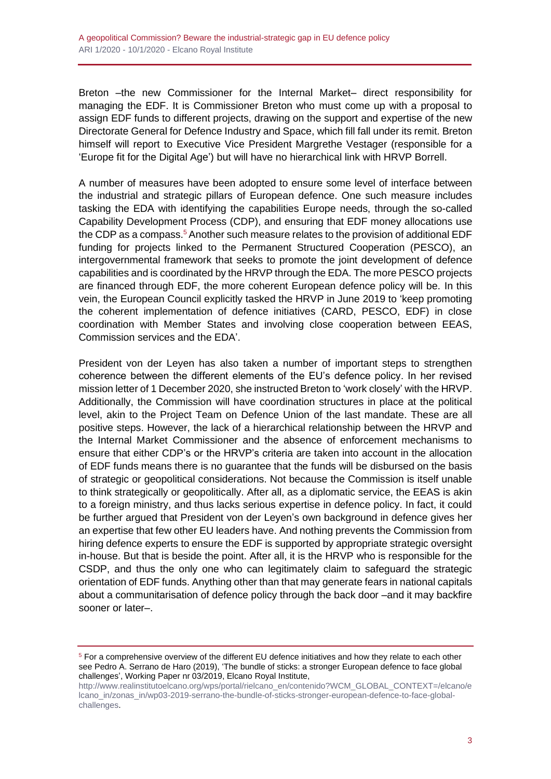Breton –the new Commissioner for the Internal Market– direct responsibility for managing the EDF. It is Commissioner Breton who must come up with a proposal to assign EDF funds to different projects, drawing on the support and expertise of the new Directorate General for Defence Industry and Space, which fill fall under its remit. Breton himself will report to Executive Vice President Margrethe Vestager (responsible for a 'Europe fit for the Digital Age') but will have no hierarchical link with HRVP Borrell.

A number of measures have been adopted to ensure some level of interface between the industrial and strategic pillars of European defence. One such measure includes tasking the EDA with identifying the capabilities Europe needs, through the so-called Capability Development Process (CDP), and ensuring that EDF money allocations use the CDP as a compass.<sup>5</sup> Another such measure relates to the provision of additional EDF funding for projects linked to the Permanent Structured Cooperation (PESCO), an intergovernmental framework that seeks to promote the joint development of defence capabilities and is coordinated by the HRVP through the EDA. The more PESCO projects are financed through EDF, the more coherent European defence policy will be. In this vein, the European Council explicitly tasked the HRVP in June 2019 to 'keep promoting the coherent implementation of defence initiatives (CARD, PESCO, EDF) in close coordination with Member States and involving close cooperation between EEAS, Commission services and the EDA'.

President von der Leyen has also taken a number of important steps to strengthen coherence between the different elements of the EU's defence policy. In her revised mission letter of 1 December 2020, she instructed Breton to 'work closely' with the HRVP. Additionally, the Commission will have coordination structures in place at the political level, akin to the Project Team on Defence Union of the last mandate. These are all positive steps. However, the lack of a hierarchical relationship between the HRVP and the Internal Market Commissioner and the absence of enforcement mechanisms to ensure that either CDP's or the HRVP's criteria are taken into account in the allocation of EDF funds means there is no guarantee that the funds will be disbursed on the basis of strategic or geopolitical considerations. Not because the Commission is itself unable to think strategically or geopolitically. After all, as a diplomatic service, the EEAS is akin to a foreign ministry, and thus lacks serious expertise in defence policy. In fact, it could be further argued that President von der Leyen's own background in defence gives her an expertise that few other EU leaders have. And nothing prevents the Commission from hiring defence experts to ensure the EDF is supported by appropriate strategic oversight in-house. But that is beside the point. After all, it is the HRVP who is responsible for the CSDP, and thus the only one who can legitimately claim to safeguard the strategic orientation of EDF funds. Anything other than that may generate fears in national capitals about a communitarisation of defence policy through the back door –and it may backfire sooner or later–.

<sup>5</sup> For a comprehensive overview of the different EU defence initiatives and how they relate to each other see Pedro A. Serrano de Haro (2019), 'The bundle of sticks: a stronger European defence to face global challenges', Working Paper nr 03/2019, Elcano Royal Institute,

[http://www.realinstitutoelcano.org/wps/portal/rielcano\\_en/contenido?WCM\\_GLOBAL\\_CONTEXT=/elcano/e](http://www.realinstitutoelcano.org/wps/portal/rielcano_en/contenido?WCM_GLOBAL_CONTEXT=/elcano/elcano_in/zonas_in/wp03-2019-serrano-the-bundle-of-sticks-stronger-european-defence-to-face-global-challenges) [lcano\\_in/zonas\\_in/wp03-2019-serrano-the-bundle-of-sticks-stronger-european-defence-to-face-global](http://www.realinstitutoelcano.org/wps/portal/rielcano_en/contenido?WCM_GLOBAL_CONTEXT=/elcano/elcano_in/zonas_in/wp03-2019-serrano-the-bundle-of-sticks-stronger-european-defence-to-face-global-challenges)[challenges.](http://www.realinstitutoelcano.org/wps/portal/rielcano_en/contenido?WCM_GLOBAL_CONTEXT=/elcano/elcano_in/zonas_in/wp03-2019-serrano-the-bundle-of-sticks-stronger-european-defence-to-face-global-challenges)